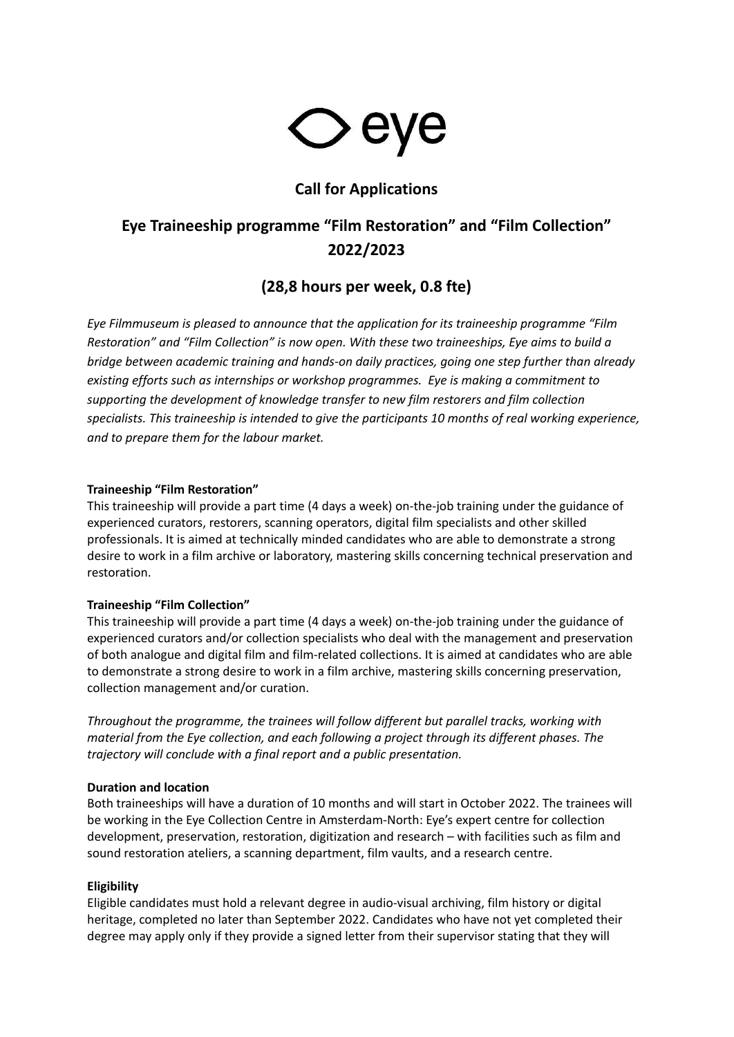

## **Call for Applications**

# **Eye Traineeship programme "Film Restoration" and "Film Collection" 2022/2023**

## **(28,8 hours per week, 0.8 fte)**

*Eye Filmmuseum is pleased to announce that the application for its traineeship programme "Film Restoration" and "Film Collection" is now open. With these two traineeships, Eye aims to build a bridge between academic training and hands-on daily practices, going one step further than already existing efforts such as internships or workshop programmes. Eye is making a commitment to supporting the development of knowledge transfer to new film restorers and film collection specialists. This traineeship is intended to give the participants 10 months of real working experience, and to prepare them for the labour market.*

### **Traineeship "Film Restoration"**

This traineeship will provide a part time (4 days a week) on-the-job training under the guidance of experienced curators, restorers, scanning operators, digital film specialists and other skilled professionals. It is aimed at technically minded candidates who are able to demonstrate a strong desire to work in a film archive or laboratory, mastering skills concerning technical preservation and restoration.

#### **Traineeship "Film Collection"**

This traineeship will provide a part time (4 days a week) on-the-job training under the guidance of experienced curators and/or collection specialists who deal with the management and preservation of both analogue and digital film and film-related collections. It is aimed at candidates who are able to demonstrate a strong desire to work in a film archive, mastering skills concerning preservation, collection management and/or curation.

*Throughout the programme, the trainees will follow different but parallel tracks, working with material from the Eye collection, and each following a project through its different phases. The trajectory will conclude with a final report and a public presentation.*

#### **Duration and location**

Both traineeships will have a duration of 10 months and will start in October 2022. The trainees will be working in the Eye Collection Centre in Amsterdam-North: Eye's expert centre for collection development, preservation, restoration, digitization and research – with facilities such as film and sound restoration ateliers, a scanning department, film vaults, and a research centre.

## **Eligibility**

Eligible candidates must hold a relevant degree in audio-visual archiving, film history or digital heritage, completed no later than September 2022. Candidates who have not yet completed their degree may apply only if they provide a signed letter from their supervisor stating that they will